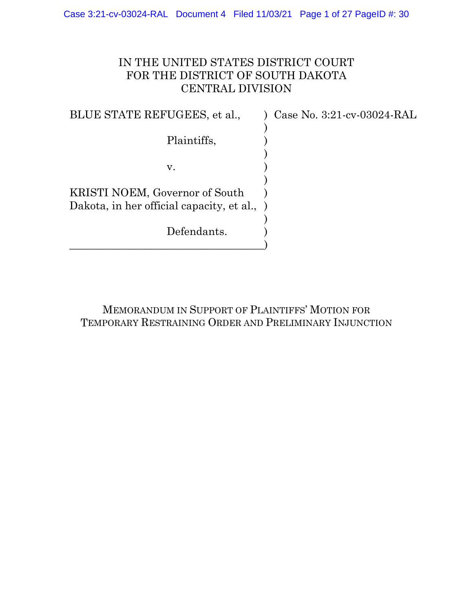## IN THE UNITED STATES DISTRICT COURT FOR THE DISTRICT OF SOUTH DAKOTA CENTRAL DIVISION

BLUE STATE REFUGEES, et al., ) Case No. 3:21-cv-03024-RAL ) Plaintiffs, ) )  $\mathbf{v}$ .  $\qquad \qquad$  ) ) KRISTI NOEM, Governor of South ) Dakota, in her official capacity, et al., ) Defendants. \_\_\_\_\_\_\_\_\_\_\_\_\_\_\_\_\_\_\_\_\_\_\_\_\_\_\_\_\_\_\_\_\_\_\_\_)

MEMORANDUM IN SUPPORT OF PLAINTIFFS' MOTION FOR TEMPORARY RESTRAINING ORDER AND PRELIMINARY INJUNCTION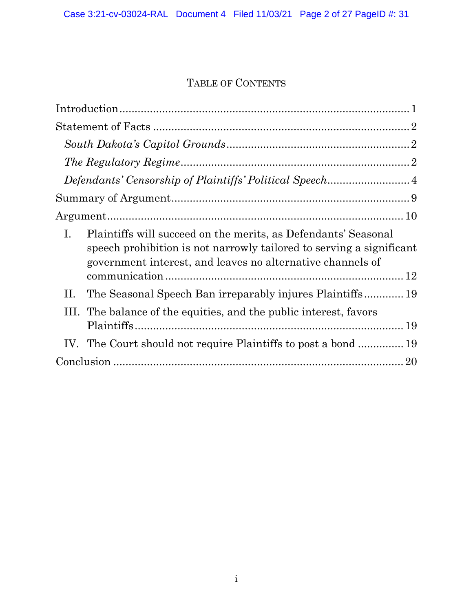# TABLE OF CONTENTS

| $\rm{Argument}.\rm{}.\rm{}.\rm{}.\rm{}.\rm{}.\rm{}.\rm{}.\rm{10}$                                                                                                                                          |  |
|------------------------------------------------------------------------------------------------------------------------------------------------------------------------------------------------------------|--|
| Ι.<br>Plaintiffs will succeed on the merits, as Defendants' Seasonal<br>speech prohibition is not narrowly tailored to serving a significant<br>government interest, and leaves no alternative channels of |  |
| The Seasonal Speech Ban irreparably injures Plaintiffs 19<br>П.                                                                                                                                            |  |
| The balance of the equities, and the public interest, favors<br>Ш.                                                                                                                                         |  |
| IV. The Court should not require Plaintiffs to post a bond  19                                                                                                                                             |  |
|                                                                                                                                                                                                            |  |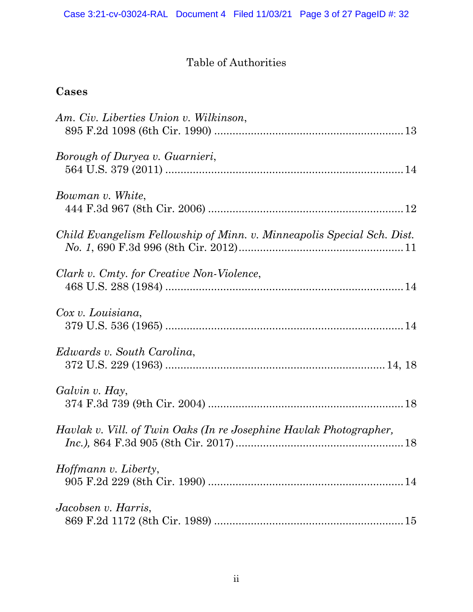# Table of Authorities

## **Cases**

| Am. Civ. Liberties Union v. Wilkinson,                                 |
|------------------------------------------------------------------------|
| Borough of Duryea v. Guarnieri,                                        |
| Bowman v. White,                                                       |
| Child Evangelism Fellowship of Minn. v. Minneapolis Special Sch. Dist. |
| Clark v. Cmty. for Creative Non-Violence,                              |
| Cox v. Louisiana,                                                      |
| Edwards v. South Carolina,                                             |
| Galvin v. Hay,                                                         |
| Havlak v. Vill. of Twin Oaks (In re Josephine Havlak Photographer,     |
| <i>Hoffmann v. Liberty,</i>                                            |
| Jacobsen v. Harris,                                                    |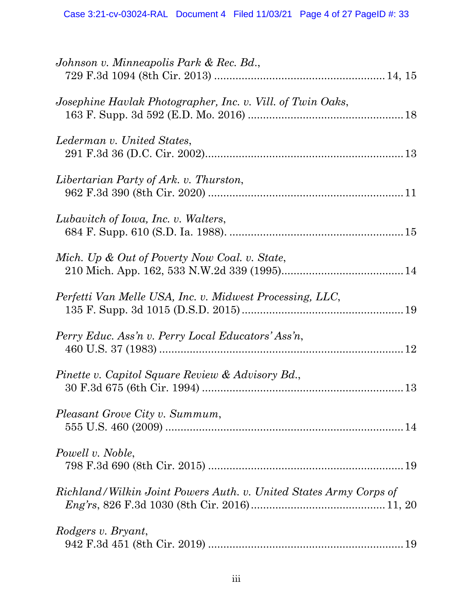| Josephine Havlak Photographer, Inc. v. Vill. of Twin Oaks,<br>Lederman v. United States,<br>Libertarian Party of Ark. v. Thurston,<br>Lubavitch of Iowa, Inc. v. Walters,<br>Mich. Up & Out of Poverty Now Coal. v. State,<br>Perfetti Van Melle USA, Inc. v. Midwest Processing, LLC,<br>Perry Educ. Ass'n v. Perry Local Educators' Ass'n,<br>Pinette v. Capitol Square Review & Advisory Bd.,<br>Pleasant Grove City v. Summum,<br>Powell v. Noble, |
|--------------------------------------------------------------------------------------------------------------------------------------------------------------------------------------------------------------------------------------------------------------------------------------------------------------------------------------------------------------------------------------------------------------------------------------------------------|
|                                                                                                                                                                                                                                                                                                                                                                                                                                                        |
|                                                                                                                                                                                                                                                                                                                                                                                                                                                        |
|                                                                                                                                                                                                                                                                                                                                                                                                                                                        |
|                                                                                                                                                                                                                                                                                                                                                                                                                                                        |
|                                                                                                                                                                                                                                                                                                                                                                                                                                                        |
|                                                                                                                                                                                                                                                                                                                                                                                                                                                        |
|                                                                                                                                                                                                                                                                                                                                                                                                                                                        |
|                                                                                                                                                                                                                                                                                                                                                                                                                                                        |
|                                                                                                                                                                                                                                                                                                                                                                                                                                                        |
|                                                                                                                                                                                                                                                                                                                                                                                                                                                        |
| Richland/Wilkin Joint Powers Auth. v. United States Army Corps of                                                                                                                                                                                                                                                                                                                                                                                      |
| Rodgers v. Bryant,                                                                                                                                                                                                                                                                                                                                                                                                                                     |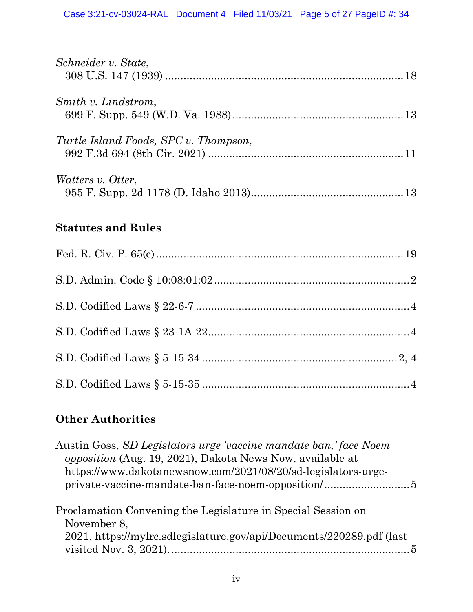| Schneider v. State,                   |  |
|---------------------------------------|--|
| Smith v. Lindstrom,                   |  |
| Turtle Island Foods, SPC v. Thompson, |  |
| Watters v. Otter,                     |  |
| <b>Statutes and Rules</b>             |  |
|                                       |  |
|                                       |  |
|                                       |  |
|                                       |  |
|                                       |  |
|                                       |  |

# **Other Authorities**

| Austin Goss, SD Legislators urge 'vaccine mandate ban,' face Noem<br>opposition (Aug. 19, 2021), Dakota News Now, available at<br>https://www.dakotanewsnow.com/2021/08/20/sd-legislators-urge- |  |
|-------------------------------------------------------------------------------------------------------------------------------------------------------------------------------------------------|--|
| Proclamation Convening the Legislature in Special Session on<br>November 8,<br>2021, https://mylrc.sdlegislature.gov/api/Documents/220289.pdf (last)                                            |  |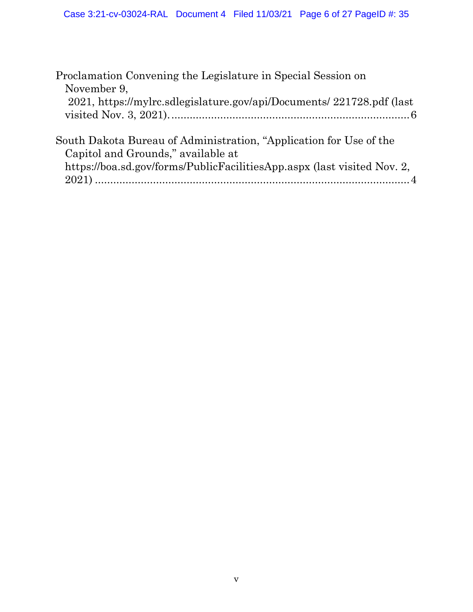| Proclamation Convening the Legislature in Special Session on            |
|-------------------------------------------------------------------------|
| November 9,                                                             |
| 2021, https://mylrc.sdlegislature.gov/api/Documents/ 221728.pdf (last)  |
|                                                                         |
|                                                                         |
| South Dakota Bureau of Administration, "Application for Use of the      |
| Capitol and Grounds," available at                                      |
| https://boa.sd.gov/forms/PublicFacilitiesApp.aspx (last visited Nov. 2, |
|                                                                         |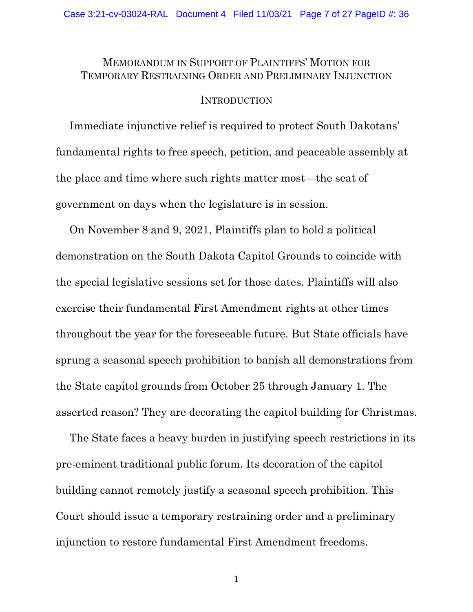### MEMORANDUM IN SUPPORT OF PLAINTIFFS' MOTION FOR TEMPORARY RESTRAINING ORDER AND PRELIMINARY INJUNCTION

#### INTRODUCTION

Immediate injunctive relief is required to protect South Dakotans' fundamental rights to free speech, petition, and peaceable assembly at the place and time where such rights matter most—the seat of government on days when the legislature is in session.

On November 8 and 9, 2021, Plaintiffs plan to hold a political demonstration on the South Dakota Capitol Grounds to coincide with the special legislative sessions set for those dates. Plaintiffs will also exercise their fundamental First Amendment rights at other times throughout the year for the foreseeable future. But State officials have sprung a seasonal speech prohibition to banish all demonstrations from the State capitol grounds from October 25 through January 1. The asserted reason? They are decorating the capitol building for Christmas.

The State faces a heavy burden in justifying speech restrictions in its pre-eminent traditional public forum. Its decoration of the capitol building cannot remotely justify a seasonal speech prohibition. This Court should issue a temporary restraining order and a preliminary injunction to restore fundamental First Amendment freedoms.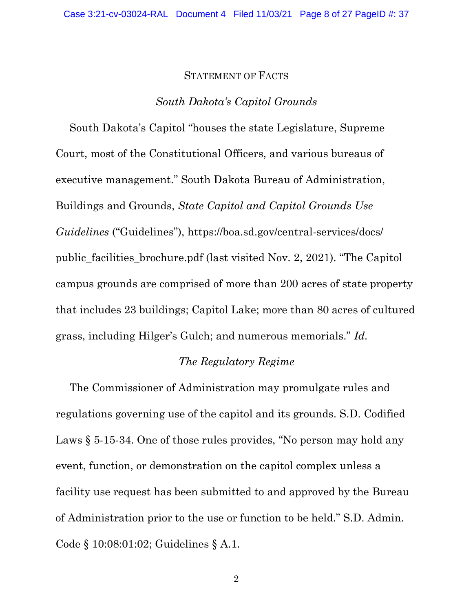#### STATEMENT OF FACTS

#### *South Dakota's Capitol Grounds*

South Dakota's Capitol "houses the state Legislature, Supreme Court, most of the Constitutional Officers, and various bureaus of executive management." South Dakota Bureau of Administration, Buildings and Grounds, *State Capitol and Capitol Grounds Use Guidelines* ("Guidelines"), https://boa.sd.gov/central-services/docs/ public\_facilities\_brochure.pdf (last visited Nov. 2, 2021). "The Capitol campus grounds are comprised of more than 200 acres of state property that includes 23 buildings; Capitol Lake; more than 80 acres of cultured grass, including Hilger's Gulch; and numerous memorials." *Id.*

#### *The Regulatory Regime*

The Commissioner of Administration may promulgate rules and regulations governing use of the capitol and its grounds. S.D. Codified Laws § 5-15-34. One of those rules provides, "No person may hold any event, function, or demonstration on the capitol complex unless a facility use request has been submitted to and approved by the Bureau of Administration prior to the use or function to be held." S.D. Admin. Code § 10:08:01:02; Guidelines § A.1.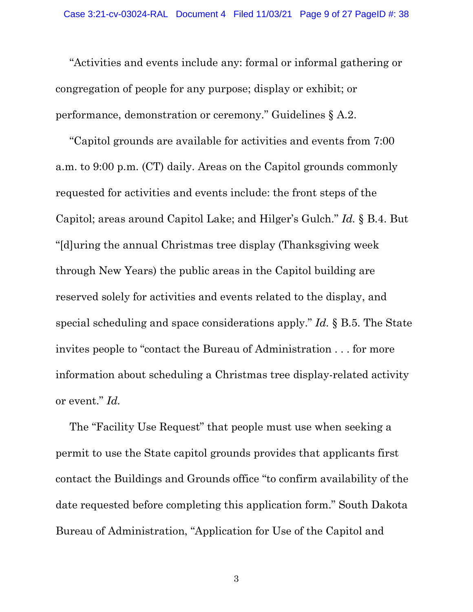"Activities and events include any: formal or informal gathering or congregation of people for any purpose; display or exhibit; or performance, demonstration or ceremony." Guidelines § A.2.

"Capitol grounds are available for activities and events from 7:00 a.m. to 9:00 p.m. (CT) daily. Areas on the Capitol grounds commonly requested for activities and events include: the front steps of the Capitol; areas around Capitol Lake; and Hilger's Gulch." *Id.* § B.4. But "[d]uring the annual Christmas tree display (Thanksgiving week through New Years) the public areas in the Capitol building are reserved solely for activities and events related to the display, and special scheduling and space considerations apply." *Id.* § B.5. The State invites people to "contact the Bureau of Administration . . . for more information about scheduling a Christmas tree display-related activity or event." *Id.*

The "Facility Use Request" that people must use when seeking a permit to use the State capitol grounds provides that applicants first contact the Buildings and Grounds office "to confirm availability of the date requested before completing this application form." South Dakota Bureau of Administration, "Application for Use of the Capitol and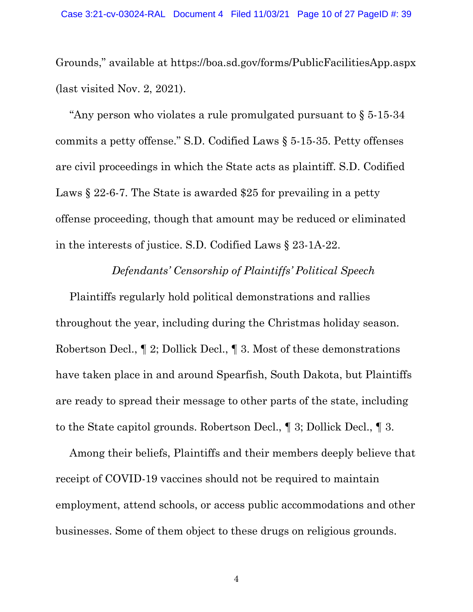Grounds," available at https://boa.sd.gov/forms/PublicFacilitiesApp.aspx (last visited Nov. 2, 2021).

"Any person who violates a rule promulgated pursuant to § 5-15-34 commits a petty offense." S.D. Codified Laws § 5-15-35. Petty offenses are civil proceedings in which the State acts as plaintiff. S.D. Codified Laws § 22-6-7. The State is awarded \$25 for prevailing in a petty offense proceeding, though that amount may be reduced or eliminated in the interests of justice. S.D. Codified Laws § 23-1A-22.

#### *Defendants' Censorship of Plaintiffs' Political Speech*

Plaintiffs regularly hold political demonstrations and rallies throughout the year, including during the Christmas holiday season. Robertson Decl., ¶ 2; Dollick Decl., ¶ 3. Most of these demonstrations have taken place in and around Spearfish, South Dakota, but Plaintiffs are ready to spread their message to other parts of the state, including to the State capitol grounds. Robertson Decl., ¶ 3; Dollick Decl., ¶ 3.

Among their beliefs, Plaintiffs and their members deeply believe that receipt of COVID-19 vaccines should not be required to maintain employment, attend schools, or access public accommodations and other businesses. Some of them object to these drugs on religious grounds.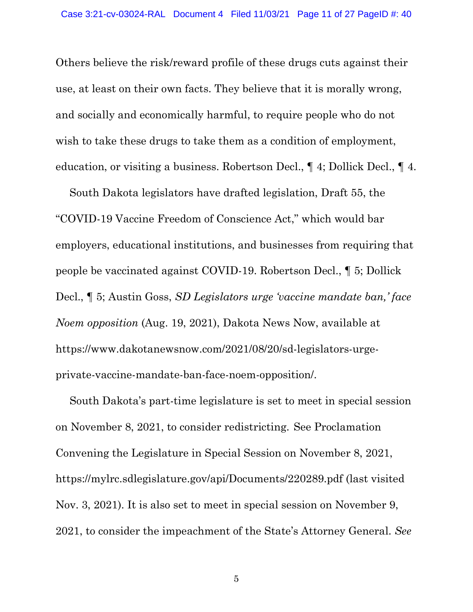Others believe the risk/reward profile of these drugs cuts against their use, at least on their own facts. They believe that it is morally wrong, and socially and economically harmful, to require people who do not wish to take these drugs to take them as a condition of employment, education, or visiting a business. Robertson Decl., ¶ 4; Dollick Decl., ¶ 4.

South Dakota legislators have drafted legislation, Draft 55, the "COVID-19 Vaccine Freedom of Conscience Act," which would bar employers, educational institutions, and businesses from requiring that people be vaccinated against COVID-19. Robertson Decl., ¶ 5; Dollick Decl., ¶ 5; Austin Goss, *SD Legislators urge 'vaccine mandate ban,' face Noem opposition* (Aug. 19, 2021), Dakota News Now, available at https://www.dakotanewsnow.com/2021/08/20/sd-legislators-urgeprivate-vaccine-mandate-ban-face-noem-opposition/.

South Dakota's part-time legislature is set to meet in special session on November 8, 2021, to consider redistricting. See Proclamation Convening the Legislature in Special Session on November 8, 2021, https://mylrc.sdlegislature.gov/api/Documents/220289.pdf (last visited Nov. 3, 2021). It is also set to meet in special session on November 9, 2021, to consider the impeachment of the State's Attorney General. *See*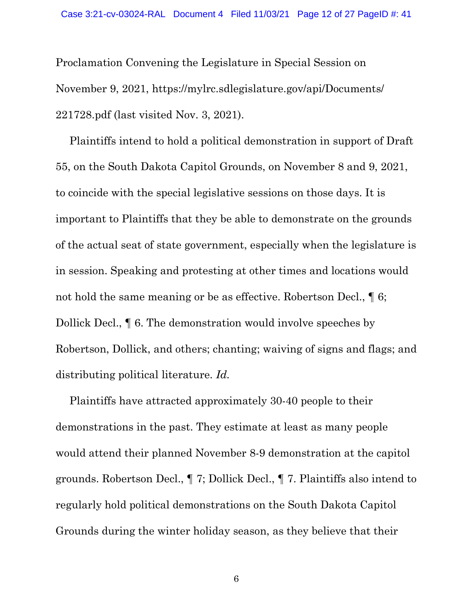Proclamation Convening the Legislature in Special Session on November 9, 2021, https://mylrc.sdlegislature.gov/api/Documents/ 221728.pdf (last visited Nov. 3, 2021).

Plaintiffs intend to hold a political demonstration in support of Draft 55, on the South Dakota Capitol Grounds, on November 8 and 9, 2021, to coincide with the special legislative sessions on those days. It is important to Plaintiffs that they be able to demonstrate on the grounds of the actual seat of state government, especially when the legislature is in session. Speaking and protesting at other times and locations would not hold the same meaning or be as effective. Robertson Decl.,  $\P 6$ ; Dollick Decl., ¶ 6. The demonstration would involve speeches by Robertson, Dollick, and others; chanting; waiving of signs and flags; and distributing political literature. *Id.*

Plaintiffs have attracted approximately 30-40 people to their demonstrations in the past. They estimate at least as many people would attend their planned November 8-9 demonstration at the capitol grounds. Robertson Decl., ¶ 7; Dollick Decl., ¶ 7. Plaintiffs also intend to regularly hold political demonstrations on the South Dakota Capitol Grounds during the winter holiday season, as they believe that their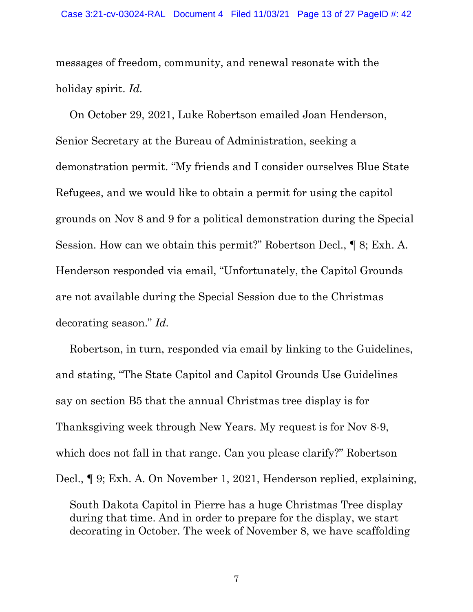messages of freedom, community, and renewal resonate with the holiday spirit. *Id.*

On October 29, 2021, Luke Robertson emailed Joan Henderson, Senior Secretary at the Bureau of Administration, seeking a demonstration permit. "My friends and I consider ourselves Blue State Refugees, and we would like to obtain a permit for using the capitol grounds on Nov 8 and 9 for a political demonstration during the Special Session. How can we obtain this permit?" Robertson Decl., ¶ 8; Exh. A. Henderson responded via email, "Unfortunately, the Capitol Grounds are not available during the Special Session due to the Christmas decorating season." *Id.*

Robertson, in turn, responded via email by linking to the Guidelines, and stating, "The State Capitol and Capitol Grounds Use Guidelines say on section B5 that the annual Christmas tree display is for Thanksgiving week through New Years. My request is for Nov 8-9, which does not fall in that range. Can you please clarify?" Robertson Decl., ¶ 9; Exh. A. On November 1, 2021, Henderson replied, explaining,

South Dakota Capitol in Pierre has a huge Christmas Tree display during that time. And in order to prepare for the display, we start decorating in October. The week of November 8, we have scaffolding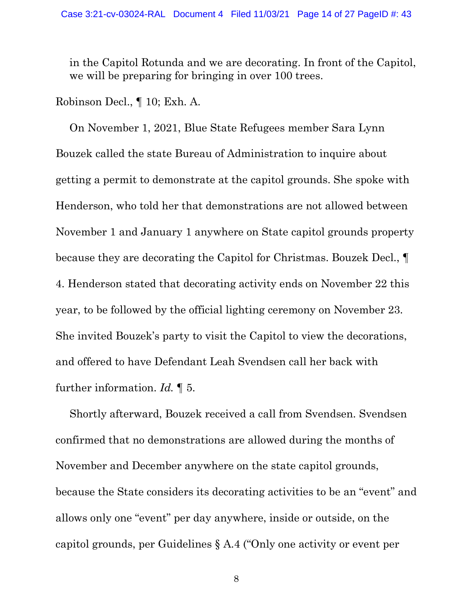in the Capitol Rotunda and we are decorating. In front of the Capitol, we will be preparing for bringing in over 100 trees.

Robinson Decl., ¶ 10; Exh. A.

On November 1, 2021, Blue State Refugees member Sara Lynn Bouzek called the state Bureau of Administration to inquire about getting a permit to demonstrate at the capitol grounds. She spoke with Henderson, who told her that demonstrations are not allowed between November 1 and January 1 anywhere on State capitol grounds property because they are decorating the Capitol for Christmas. Bouzek Decl., ¶ 4. Henderson stated that decorating activity ends on November 22 this year, to be followed by the official lighting ceremony on November 23. She invited Bouzek's party to visit the Capitol to view the decorations, and offered to have Defendant Leah Svendsen call her back with further information. *Id.* ¶ 5.

Shortly afterward, Bouzek received a call from Svendsen. Svendsen confirmed that no demonstrations are allowed during the months of November and December anywhere on the state capitol grounds, because the State considers its decorating activities to be an "event" and allows only one "event" per day anywhere, inside or outside, on the capitol grounds, per Guidelines § A.4 ("Only one activity or event per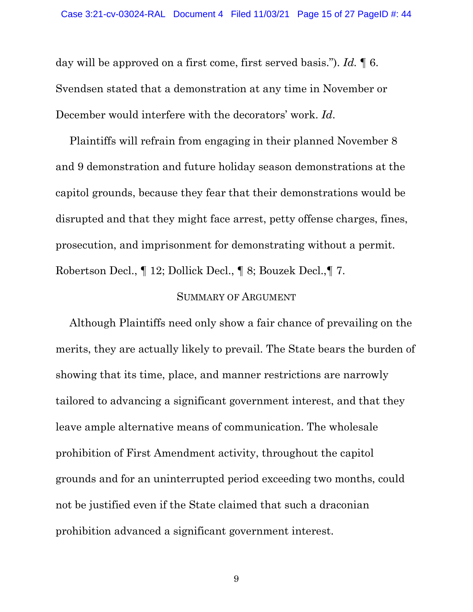day will be approved on a first come, first served basis."). *Id.* ¶ 6. Svendsen stated that a demonstration at any time in November or December would interfere with the decorators' work. *Id*.

Plaintiffs will refrain from engaging in their planned November 8 and 9 demonstration and future holiday season demonstrations at the capitol grounds, because they fear that their demonstrations would be disrupted and that they might face arrest, petty offense charges, fines, prosecution, and imprisonment for demonstrating without a permit. Robertson Decl., ¶ 12; Dollick Decl., ¶ 8; Bouzek Decl.,¶ 7.

#### SUMMARY OF ARGUMENT

Although Plaintiffs need only show a fair chance of prevailing on the merits, they are actually likely to prevail. The State bears the burden of showing that its time, place, and manner restrictions are narrowly tailored to advancing a significant government interest, and that they leave ample alternative means of communication. The wholesale prohibition of First Amendment activity, throughout the capitol grounds and for an uninterrupted period exceeding two months, could not be justified even if the State claimed that such a draconian prohibition advanced a significant government interest.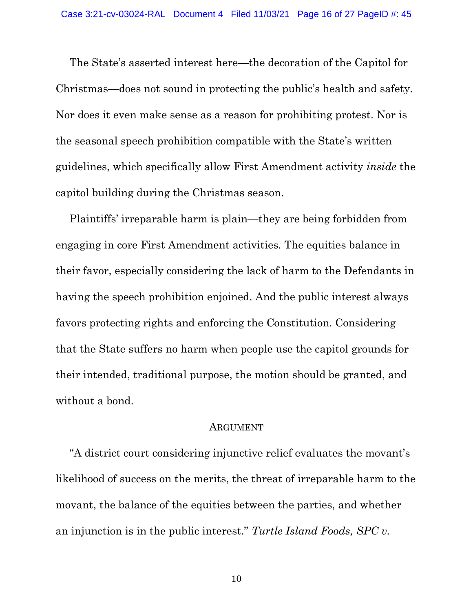The State's asserted interest here—the decoration of the Capitol for Christmas—does not sound in protecting the public's health and safety. Nor does it even make sense as a reason for prohibiting protest. Nor is the seasonal speech prohibition compatible with the State's written guidelines, which specifically allow First Amendment activity *inside* the capitol building during the Christmas season.

Plaintiffs' irreparable harm is plain—they are being forbidden from engaging in core First Amendment activities. The equities balance in their favor, especially considering the lack of harm to the Defendants in having the speech prohibition enjoined. And the public interest always favors protecting rights and enforcing the Constitution. Considering that the State suffers no harm when people use the capitol grounds for their intended, traditional purpose, the motion should be granted, and without a bond.

#### ARGUMENT

"A district court considering injunctive relief evaluates the movant's likelihood of success on the merits, the threat of irreparable harm to the movant, the balance of the equities between the parties, and whether an injunction is in the public interest." *Turtle Island Foods, SPC v.*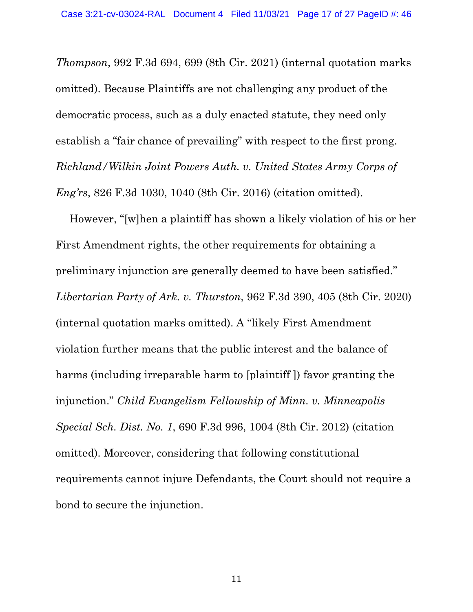*Thompson*, 992 F.3d 694, 699 (8th Cir. 2021) (internal quotation marks omitted). Because Plaintiffs are not challenging any product of the democratic process, such as a duly enacted statute, they need only establish a "fair chance of prevailing" with respect to the first prong. *Richland/Wilkin Joint Powers Auth. v. United States Army Corps of Eng'rs*, 826 F.3d 1030, 1040 (8th Cir. 2016) (citation omitted).

However, "[w]hen a plaintiff has shown a likely violation of his or her First Amendment rights, the other requirements for obtaining a preliminary injunction are generally deemed to have been satisfied." *Libertarian Party of Ark. v. Thurston*, 962 F.3d 390, 405 (8th Cir. 2020) (internal quotation marks omitted). A "likely First Amendment violation further means that the public interest and the balance of harms (including irreparable harm to [plaintiff ]) favor granting the injunction." *Child Evangelism Fellowship of Minn. v. Minneapolis Special Sch. Dist. No. 1*, 690 F.3d 996, 1004 (8th Cir. 2012) (citation omitted). Moreover, considering that following constitutional requirements cannot injure Defendants, the Court should not require a bond to secure the injunction.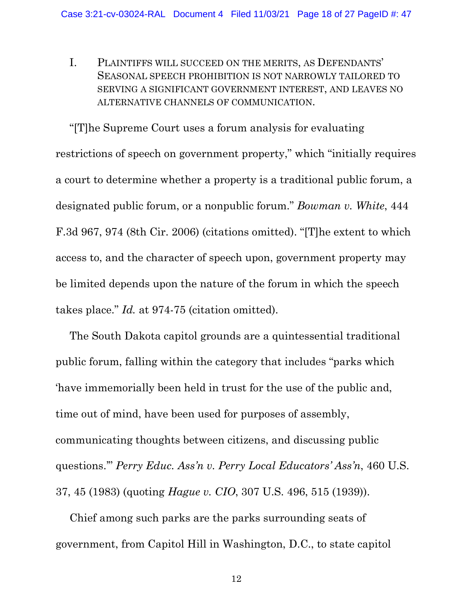I. PLAINTIFFS WILL SUCCEED ON THE MERITS, AS DEFENDANTS' SEASONAL SPEECH PROHIBITION IS NOT NARROWLY TAILORED TO SERVING A SIGNIFICANT GOVERNMENT INTEREST, AND LEAVES NO ALTERNATIVE CHANNELS OF COMMUNICATION.

"[T]he Supreme Court uses a forum analysis for evaluating restrictions of speech on government property," which "initially requires a court to determine whether a property is a traditional public forum, a designated public forum, or a nonpublic forum." *Bowman v. White*, 444 F.3d 967, 974 (8th Cir. 2006) (citations omitted). "[T]he extent to which access to, and the character of speech upon, government property may be limited depends upon the nature of the forum in which the speech takes place." *Id.* at 974-75 (citation omitted).

The South Dakota capitol grounds are a quintessential traditional public forum, falling within the category that includes "parks which 'have immemorially been held in trust for the use of the public and, time out of mind, have been used for purposes of assembly, communicating thoughts between citizens, and discussing public questions.'" *Perry Educ. Ass'n v. Perry Local Educators' Ass'n*, 460 U.S. 37, 45 (1983) (quoting *Hague v. CIO*, 307 U.S. 496, 515 (1939)).

Chief among such parks are the parks surrounding seats of government, from Capitol Hill in Washington, D.C., to state capitol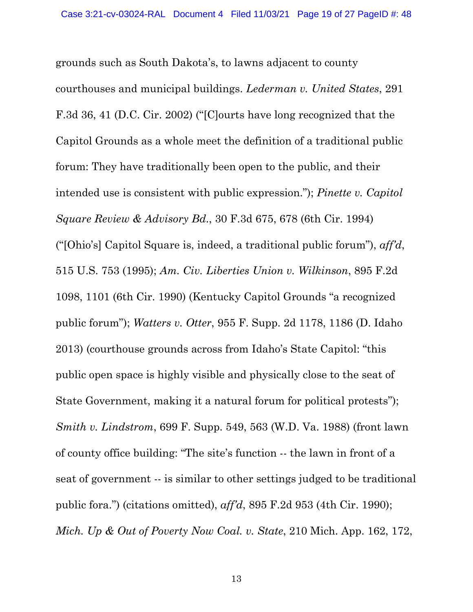grounds such as South Dakota's, to lawns adjacent to county courthouses and municipal buildings. *Lederman v. United States*, 291 F.3d 36, 41 (D.C. Cir. 2002) ("[C]ourts have long recognized that the Capitol Grounds as a whole meet the definition of a traditional public forum: They have traditionally been open to the public, and their intended use is consistent with public expression."); *Pinette v. Capitol Square Review & Advisory Bd*., 30 F.3d 675, 678 (6th Cir. 1994) ("[Ohio's] Capitol Square is, indeed, a traditional public forum"), *aff'd*, 515 U.S. 753 (1995); *Am. Civ. Liberties Union v. Wilkinson*, 895 F.2d 1098, 1101 (6th Cir. 1990) (Kentucky Capitol Grounds "a recognized public forum"); *Watters v. Otter*, 955 F. Supp. 2d 1178, 1186 (D. Idaho 2013) (courthouse grounds across from Idaho's State Capitol: "this public open space is highly visible and physically close to the seat of State Government, making it a natural forum for political protests"); *Smith v. Lindstrom*, 699 F. Supp. 549, 563 (W.D. Va. 1988) (front lawn of county office building: "The site's function -- the lawn in front of a seat of government -- is similar to other settings judged to be traditional public fora.") (citations omitted), *aff'd*, 895 F.2d 953 (4th Cir. 1990); *Mich. Up & Out of Poverty Now Coal. v. State*, 210 Mich. App. 162, 172,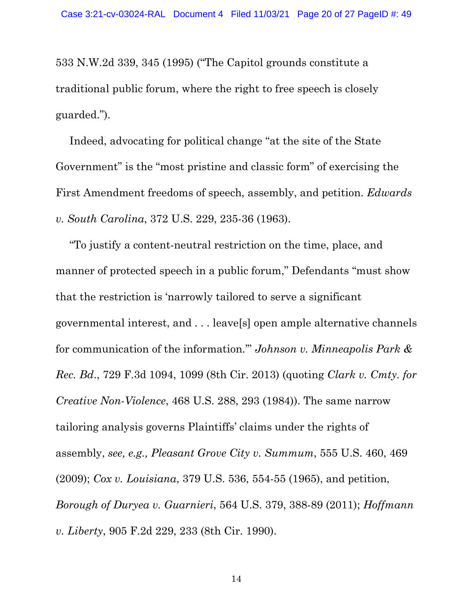533 N.W.2d 339, 345 (1995) ("The Capitol grounds constitute a traditional public forum, where the right to free speech is closely guarded.").

Indeed, advocating for political change "at the site of the State Government" is the "most pristine and classic form" of exercising the First Amendment freedoms of speech, assembly, and petition. *Edwards v. South Carolina*, 372 U.S. 229, 235-36 (1963).

"To justify a content-neutral restriction on the time, place, and manner of protected speech in a public forum," Defendants "must show that the restriction is 'narrowly tailored to serve a significant governmental interest, and . . . leave[s] open ample alternative channels for communication of the information.'" *Johnson v. Minneapolis Park & Rec. Bd*., 729 F.3d 1094, 1099 (8th Cir. 2013) (quoting *Clark v. Cmty. for Creative Non-Violence*, 468 U.S. 288, 293 (1984)). The same narrow tailoring analysis governs Plaintiffs' claims under the rights of assembly, *see, e.g., Pleasant Grove City v. Summum*, 555 U.S. 460, 469 (2009); *Cox v. Louisiana*, 379 U.S. 536, 554-55 (1965), and petition, *Borough of Duryea v. Guarnieri*, 564 U.S. 379, 388-89 (2011); *Hoffmann v. Liberty*, 905 F.2d 229, 233 (8th Cir. 1990).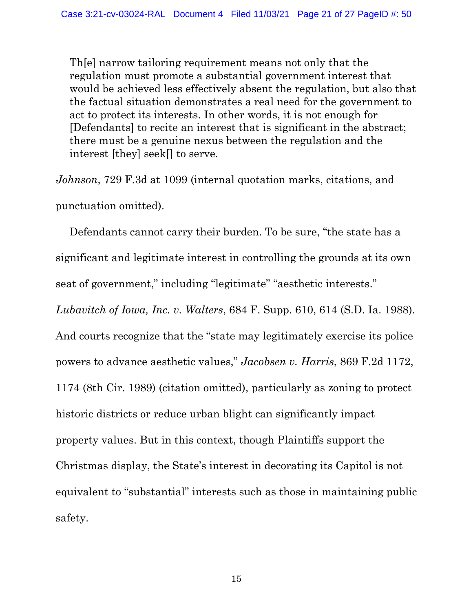Th[e] narrow tailoring requirement means not only that the regulation must promote a substantial government interest that would be achieved less effectively absent the regulation, but also that the factual situation demonstrates a real need for the government to act to protect its interests. In other words, it is not enough for [Defendants] to recite an interest that is significant in the abstract; there must be a genuine nexus between the regulation and the interest [they] seek[] to serve.

*Johnson*, 729 F.3d at 1099 (internal quotation marks, citations, and punctuation omitted).

Defendants cannot carry their burden. To be sure, "the state has a significant and legitimate interest in controlling the grounds at its own seat of government," including "legitimate" "aesthetic interests." *Lubavitch of Iowa, Inc. v. Walters*, 684 F. Supp. 610, 614 (S.D. Ia. 1988). And courts recognize that the "state may legitimately exercise its police powers to advance aesthetic values," *Jacobsen v. Harris*, 869 F.2d 1172, 1174 (8th Cir. 1989) (citation omitted), particularly as zoning to protect historic districts or reduce urban blight can significantly impact property values. But in this context, though Plaintiffs support the Christmas display, the State's interest in decorating its Capitol is not equivalent to "substantial" interests such as those in maintaining public safety.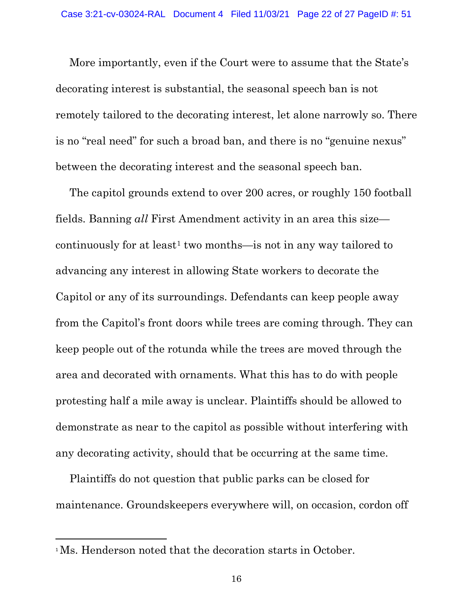More importantly, even if the Court were to assume that the State's decorating interest is substantial, the seasonal speech ban is not remotely tailored to the decorating interest, let alone narrowly so. There is no "real need" for such a broad ban, and there is no "genuine nexus" between the decorating interest and the seasonal speech ban.

The capitol grounds extend to over 200 acres, or roughly 150 football fields. Banning *all* First Amendment activity in an area this size— continuously for at least<sup>[1](#page-21-0)</sup> two months—is not in any way tailored to advancing any interest in allowing State workers to decorate the Capitol or any of its surroundings. Defendants can keep people away from the Capitol's front doors while trees are coming through. They can keep people out of the rotunda while the trees are moved through the area and decorated with ornaments. What this has to do with people protesting half a mile away is unclear. Plaintiffs should be allowed to demonstrate as near to the capitol as possible without interfering with any decorating activity, should that be occurring at the same time.

Plaintiffs do not question that public parks can be closed for maintenance. Groundskeepers everywhere will, on occasion, cordon off

 $\overline{a}$ 

<span id="page-21-0"></span><sup>&</sup>lt;sup>1</sup>Ms. Henderson noted that the decoration starts in October.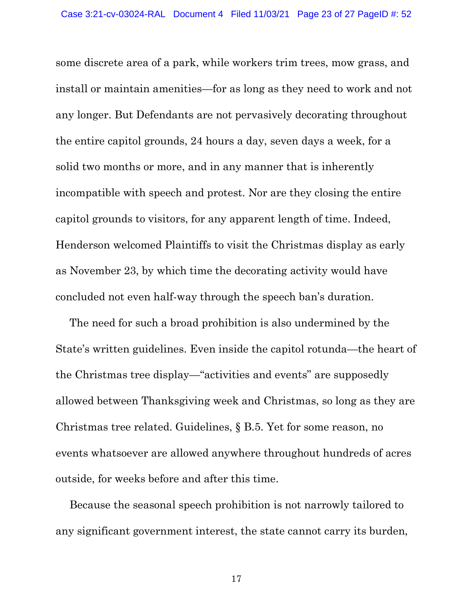some discrete area of a park, while workers trim trees, mow grass, and install or maintain amenities—for as long as they need to work and not any longer. But Defendants are not pervasively decorating throughout the entire capitol grounds, 24 hours a day, seven days a week, for a solid two months or more, and in any manner that is inherently incompatible with speech and protest. Nor are they closing the entire capitol grounds to visitors, for any apparent length of time. Indeed, Henderson welcomed Plaintiffs to visit the Christmas display as early as November 23, by which time the decorating activity would have concluded not even half-way through the speech ban's duration.

The need for such a broad prohibition is also undermined by the State's written guidelines. Even inside the capitol rotunda—the heart of the Christmas tree display—"activities and events" are supposedly allowed between Thanksgiving week and Christmas, so long as they are Christmas tree related. Guidelines, § B.5. Yet for some reason, no events whatsoever are allowed anywhere throughout hundreds of acres outside, for weeks before and after this time.

Because the seasonal speech prohibition is not narrowly tailored to any significant government interest, the state cannot carry its burden,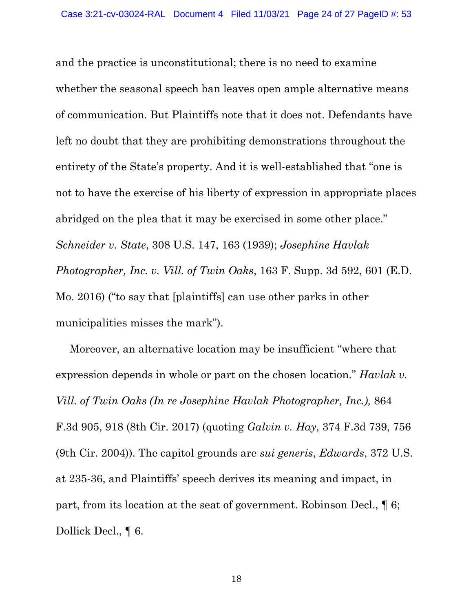and the practice is unconstitutional; there is no need to examine whether the seasonal speech ban leaves open ample alternative means of communication. But Plaintiffs note that it does not. Defendants have left no doubt that they are prohibiting demonstrations throughout the entirety of the State's property. And it is well-established that "one is not to have the exercise of his liberty of expression in appropriate places abridged on the plea that it may be exercised in some other place." *Schneider v. State*, 308 U.S. 147, 163 (1939); *Josephine Havlak Photographer, Inc. v. Vill. of Twin Oaks*, 163 F. Supp. 3d 592, 601 (E.D. Mo. 2016) ("to say that [plaintiffs] can use other parks in other municipalities misses the mark").

Moreover, an alternative location may be insufficient "where that expression depends in whole or part on the chosen location." *Havlak v. Vill. of Twin Oaks (In re Josephine Havlak Photographer, Inc.),* 864 F.3d 905, 918 (8th Cir. 2017) (quoting *Galvin v. Hay*, 374 F.3d 739, 756 (9th Cir. 2004)). The capitol grounds are *sui generis*, *Edwards*, 372 U.S. at 235-36, and Plaintiffs' speech derives its meaning and impact, in part, from its location at the seat of government. Robinson Decl., ¶ 6; Dollick Decl., ¶ 6.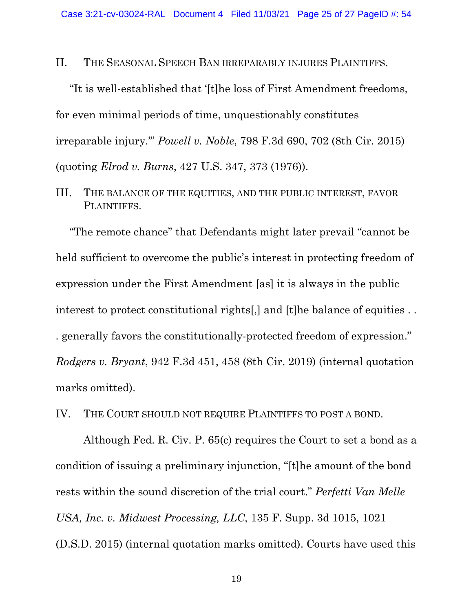II. THE SEASONAL SPEECH BAN IRREPARABLY INJURES PLAINTIFFS.

"It is well-established that '[t]he loss of First Amendment freedoms, for even minimal periods of time, unquestionably constitutes irreparable injury.'" *Powell v. Noble*, 798 F.3d 690, 702 (8th Cir. 2015) (quoting *Elrod v. Burns*, 427 U.S. 347, 373 (1976)).

III. THE BALANCE OF THE EQUITIES, AND THE PUBLIC INTEREST, FAVOR PLAINTIFFS.

"The remote chance" that Defendants might later prevail "cannot be held sufficient to overcome the public's interest in protecting freedom of expression under the First Amendment [as] it is always in the public interest to protect constitutional rights[,] and [t]he balance of equities . . . generally favors the constitutionally-protected freedom of expression." *Rodgers v. Bryant*, 942 F.3d 451, 458 (8th Cir. 2019) (internal quotation marks omitted).

IV. THE COURT SHOULD NOT REQUIRE PLAINTIFFS TO POST A BOND.

Although Fed. R. Civ. P. 65(c) requires the Court to set a bond as a condition of issuing a preliminary injunction, "[t]he amount of the bond rests within the sound discretion of the trial court." *Perfetti Van Melle USA, Inc. v. Midwest Processing, LLC*, 135 F. Supp. 3d 1015, 1021 (D.S.D. 2015) (internal quotation marks omitted). Courts have used this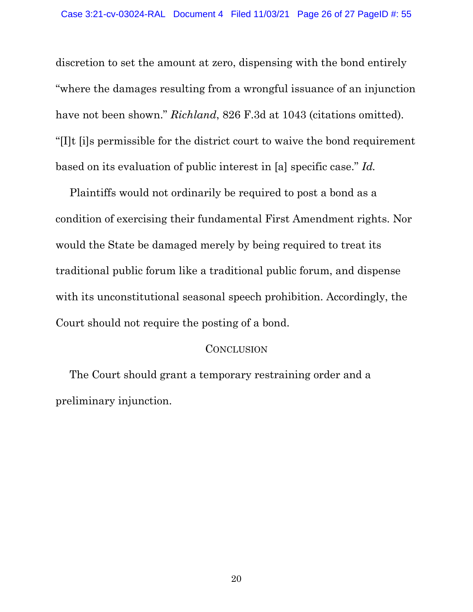discretion to set the amount at zero, dispensing with the bond entirely "where the damages resulting from a wrongful issuance of an injunction have not been shown." *Richland*, 826 F.3d at 1043 (citations omitted). "[I]t [i]s permissible for the district court to waive the bond requirement based on its evaluation of public interest in [a] specific case." *Id.*

Plaintiffs would not ordinarily be required to post a bond as a condition of exercising their fundamental First Amendment rights. Nor would the State be damaged merely by being required to treat its traditional public forum like a traditional public forum, and dispense with its unconstitutional seasonal speech prohibition. Accordingly, the Court should not require the posting of a bond.

#### **CONCLUSION**

The Court should grant a temporary restraining order and a preliminary injunction.